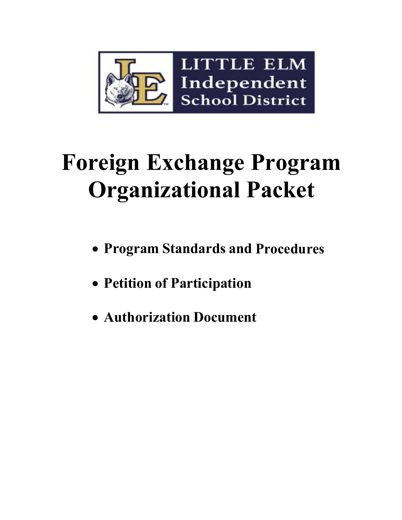

# **Foreign Exchange Program Organizational Packet**

- **Program Standards and Procedures**
- **Petition of Participation**
- **Authorization Document**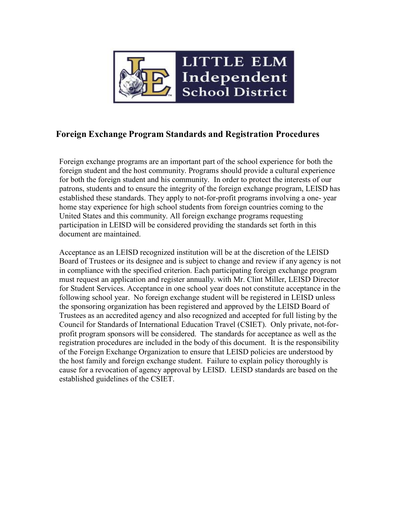

### **Foreign Exchange Program Standards and Registration Procedures**

Foreign exchange programs are an important part of the school experience for both the foreign student and the host community. Programs should provide a cultural experience for both the foreign student and his community. In order to protect the interests of our patrons, students and to ensure the integrity of the foreign exchange program, LEISD has established these standards. They apply to not-for-profit programs involving a one- year home stay experience for high school students from foreign countries coming to the United States and this community. All foreign exchange programs requesting participation in LEISD will be considered providing the standards set forth in this document are maintained.

Acceptance as an LEISD recognized institution will be at the discretion of the LEISD Board of Trustees or its designee and is subject to change and review if any agency is not in compliance with the specified criterion. Each participating foreign exchange program must request an application and register annually. with Mr. Clint Miller, LEISD Director for Student Services. Acceptance in one school year does not constitute acceptance in the following school year. No foreign exchange student will be registered in LEISD unless the sponsoring organization has been registered and approved by the LEISD Board of Trustees as an accredited agency and also recognized and accepted for full listing by the Council for Standards of International Education Travel (CSIET). Only private, not-forprofit program sponsors will be considered. The standards for acceptance as well as the registration procedures are included in the body of this document. It is the responsibility of the Foreign Exchange Organization to ensure that LEISD policies are understood by the host family and foreign exchange student. Failure to explain policy thoroughly is cause for a revocation of agency approval by LEISD. LEISD standards are based on the established guidelines of the CSIET.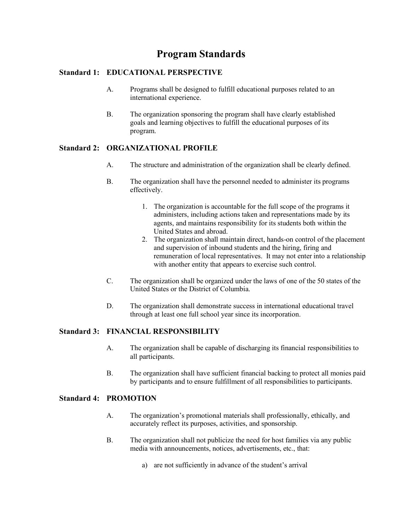## **Program Standards**

#### **Standard 1: EDUCATIONAL PERSPECTIVE**

- A. Programs shall be designed to fulfill educational purposes related to an international experience.
- B. The organization sponsoring the program shall have clearly established goals and learning objectives to fulfill the educational purposes of its program.

#### **Standard 2: ORGANIZATIONAL PROFILE**

- A. The structure and administration of the organization shall be clearly defined.
- B. The organization shall have the personnel needed to administer its programs effectively.
	- 1. The organization is accountable for the full scope of the programs it administers, including actions taken and representations made by its agents, and maintains responsibility for its students both within the United States and abroad.
	- 2. The organization shall maintain direct, hands-on control of the placement and supervision of inbound students and the hiring, firing and remuneration of local representatives. It may not enter into a relationship with another entity that appears to exercise such control.
- C. The organization shall be organized under the laws of one of the 50 states of the United States or the District of Columbia.
- D. The organization shall demonstrate success in international educational travel through at least one full school year since its incorporation.

#### **Standard 3: FINANCIAL RESPONSIBILITY**

- A. The organization shall be capable of discharging its financial responsibilities to all participants.
- B. The organization shall have sufficient financial backing to protect all monies paid by participants and to ensure fulfillment of all responsibilities to participants.

#### **Standard 4: PROMOTION**

- A. The organization's promotional materials shall professionally, ethically, and accurately reflect its purposes, activities, and sponsorship.
- B. The organization shall not publicize the need for host families via any public media with announcements, notices, advertisements, etc., that:
	- a) are not sufficiently in advance of the student's arrival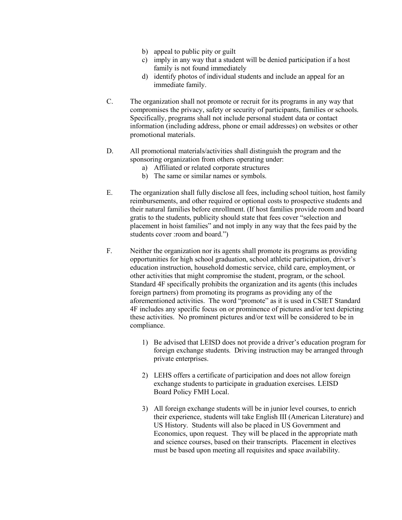- b) appeal to public pity or guilt
- c) imply in any way that a student will be denied participation if a host family is not found immediately
- d) identify photos of individual students and include an appeal for an immediate family.
- C. The organization shall not promote or recruit for its programs in any way that compromises the privacy, safety or security of participants, families or schools. Specifically, programs shall not include personal student data or contact information (including address, phone or email addresses) on websites or other promotional materials.
- D. All promotional materials/activities shall distinguish the program and the sponsoring organization from others operating under:
	- a) Affiliated or related corporate structures
	- b) The same or similar names or symbols.
- E. The organization shall fully disclose all fees, including school tuition, host family reimbursements, and other required or optional costs to prospective students and their natural families before enrollment. (If host families provide room and board gratis to the students, publicity should state that fees cover "selection and placement in hoist families" and not imply in any way that the fees paid by the students cover : room and board.")
- F. Neither the organization nor its agents shall promote its programs as providing opportunities for high school graduation, school athletic participation, driver's education instruction, household domestic service, child care, employment, or other activities that might compromise the student, program, or the school. Standard 4F specifically prohibits the organization and its agents (this includes foreign partners) from promoting its programs as providing any of the aforementioned activities. The word "promote" as it is used in CSIET Standard 4F includes any specific focus on or prominence of pictures and/or text depicting these activities. No prominent pictures and/or text will be considered to be in compliance.
	- 1) Be advised that LEISD does not provide a driver's education program for foreign exchange students. Driving instruction may be arranged through private enterprises.
	- 2) LEHS offers a certificate of participation and does not allow foreign exchange students to participate in graduation exercises. LEISD Board Policy FMH Local.
	- 3) All foreign exchange students will be in junior level courses, to enrich their experience, students will take English III (American Literature) and US History. Students will also be placed in US Government and Economics, upon request. They will be placed in the appropriate math and science courses, based on their transcripts. Placement in electives must be based upon meeting all requisites and space availability.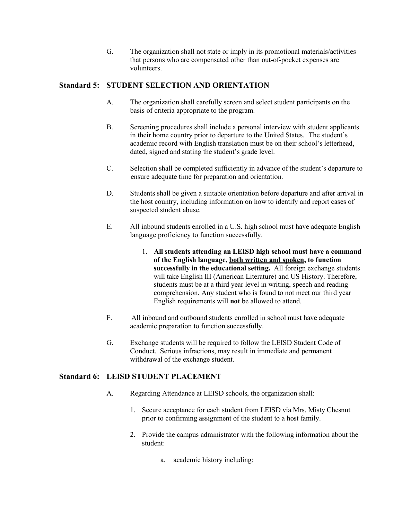G. The organization shall not state or imply in its promotional materials/activities that persons who are compensated other than out-of-pocket expenses are volunteers.

#### **Standard 5: STUDENT SELECTION AND ORIENTATION**

- A. The organization shall carefully screen and select student participants on the basis of criteria appropriate to the program.
- B. Screening procedures shall include a personal interview with student applicants in their home country prior to departure to the United States. The student's academic record with English translation must be on their school's letterhead, dated, signed and stating the student's grade level.
- C. Selection shall be completed sufficiently in advance of the student's departure to ensure adequate time for preparation and orientation.
- D. Students shall be given a suitable orientation before departure and after arrival in the host country, including information on how to identify and report cases of suspected student abuse.
- E. All inbound students enrolled in a U.S. high school must have adequate English language proficiency to function successfully.
	- 1. **All students attending an LEISD high school must have a command of the English language, both written and spoken, to function successfully in the educational setting.** All foreign exchange students will take English III (American Literature) and US History. Therefore, students must be at a third year level in writing, speech and reading comprehension. Any student who is found to not meet our third year English requirements will **not** be allowed to attend.
- F. All inbound and outbound students enrolled in school must have adequate academic preparation to function successfully.
- G. Exchange students will be required to follow the LEISD Student Code of Conduct. Serious infractions, may result in immediate and permanent withdrawal of the exchange student.

#### **Standard 6: LEISD STUDENT PLACEMENT**

- A. Regarding Attendance at LEISD schools, the organization shall:
	- 1. Secure acceptance for each student from LEISD via Mrs. Misty Chesnut prior to confirming assignment of the student to a host family.
	- 2. Provide the campus administrator with the following information about the student:
		- a. academic history including: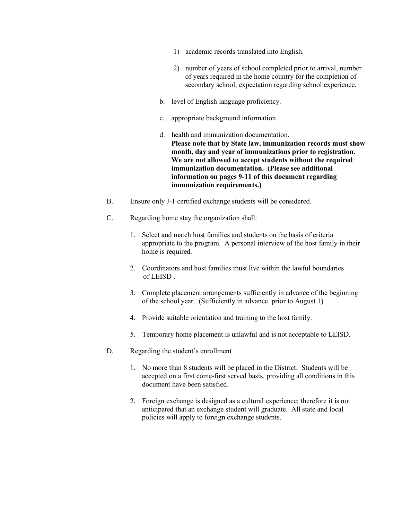- 1) academic records translated into English.
- 2) number of years of school completed prior to arrival, number of years required in the home country for the completion of secondary school, expectation regarding school experience.
- b. level of English language proficiency.
- c. appropriate background information.
- d. health and immunization documentation. **Please note that by State law, immunization records must show month, day and year of immunizations prior to registration. We are not allowed to accept students without the required immunization documentation. (Please see additional information on pages 9-11 of this document regarding immunization requirements.)**
- B. Ensure only J-1 certified exchange students will be considered.
- C. Regarding home stay the organization shall:
	- 1. Select and match host families and students on the basis of criteria appropriate to the program. A personal interview of the host family in their home is required.
	- 2. Coordinators and host families must live within the lawful boundaries of LEISD .
	- 3. Complete placement arrangements sufficiently in advance of the beginning of the school year. (Sufficiently in advance prior to August 1)
	- 4. Provide suitable orientation and training to the host family.
	- 5. Temporary home placement is unlawful and is not acceptable to LEISD.
- D. Regarding the student's enrollment
	- 1. No more than 8 students will be placed in the District. Students will be accepted on a first come-first served basis, providing all conditions in this document have been satisfied.
	- 2. Foreign exchange is designed as a cultural experience; therefore it is not anticipated that an exchange student will graduate. All state and local policies will apply to foreign exchange students.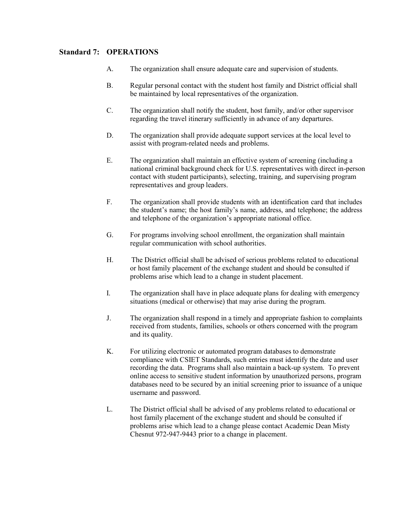#### **Standard 7: OPERATIONS**

- A. The organization shall ensure adequate care and supervision of students.
- B. Regular personal contact with the student host family and District official shall be maintained by local representatives of the organization.
- C. The organization shall notify the student, host family, and/or other supervisor regarding the travel itinerary sufficiently in advance of any departures.
- D. The organization shall provide adequate support services at the local level to assist with program-related needs and problems.
- E. The organization shall maintain an effective system of screening (including a national criminal background check for U.S. representatives with direct in-person contact with student participants), selecting, training, and supervising program representatives and group leaders.
- F. The organization shall provide students with an identification card that includes the student's name; the host family's name, address, and telephone; the address and telephone of the organization's appropriate national office.
- G. For programs involving school enrollment, the organization shall maintain regular communication with school authorities.
- H. The District official shall be advised of serious problems related to educational or host family placement of the exchange student and should be consulted if problems arise which lead to a change in student placement.
- I. The organization shall have in place adequate plans for dealing with emergency situations (medical or otherwise) that may arise during the program.
- J. The organization shall respond in a timely and appropriate fashion to complaints received from students, families, schools or others concerned with the program and its quality.
- K. For utilizing electronic or automated program databases to demonstrate compliance with CSIET Standards, such entries must identify the date and user recording the data. Programs shall also maintain a back-up system. To prevent online access to sensitive student information by unauthorized persons, program databases need to be secured by an initial screening prior to issuance of a unique username and password.
- L. The District official shall be advised of any problems related to educational or host family placement of the exchange student and should be consulted if problems arise which lead to a change please contact Academic Dean Misty Chesnut 972-947-9443 prior to a change in placement.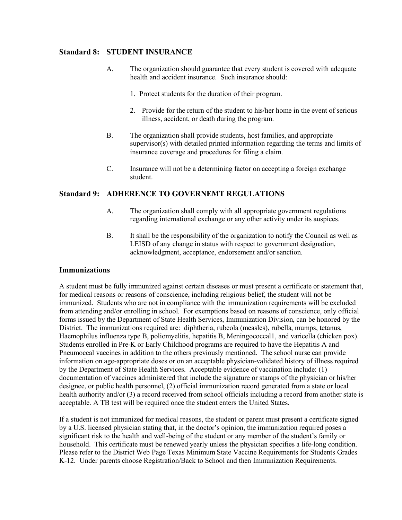#### **Standard 8: STUDENT INSURANCE**

- A. The organization should guarantee that every student is covered with adequate health and accident insurance. Such insurance should:
	- 1. Protect students for the duration of their program.
	- 2. Provide for the return of the student to his/her home in the event of serious illness, accident, or death during the program.
- B. The organization shall provide students, host families, and appropriate supervisor(s) with detailed printed information regarding the terms and limits of insurance coverage and procedures for filing a claim.
- C. Insurance will not be a determining factor on accepting a foreign exchange student.

#### **Standard 9: ADHERENCE TO GOVERNEMT REGULATIONS**

- A. The organization shall comply with all appropriate government regulations regarding international exchange or any other activity under its auspices.
- B. It shall be the responsibility of the organization to notify the Council as well as LEISD of any change in status with respect to government designation, acknowledgment, acceptance, endorsement and/or sanction.

#### **Immunizations**

A student must be fully immunized against certain diseases or must present a certificate or statement that, for medical reasons or reasons of conscience, including religious belief, the student will not be immunized. Students who are not in compliance with the immunization requirements will be excluded from attending and/or enrolling in school. For exemptions based on reasons of conscience, only official forms issued by the Department of State Health Services, Immunization Division, can be honored by the District. The immunizations required are: diphtheria, rubeola (measles), rubella, mumps, tetanus, Haemophilus influenza type B, poliomyelitis, hepatitis B, Meningococcal1, and varicella (chicken pox). Students enrolled in Pre-K or Early Childhood programs are required to have the Hepatitis A and Pneumoccal vaccines in addition to the others previously mentioned. The school nurse can provide information on age-appropriate doses or on an acceptable physician-validated history of illness required by the Department of State Health Services. Acceptable evidence of vaccination include: (1) documentation of vaccines administered that include the signature or stamps of the physician or his/her designee, or public health personnel, (2) official immunization record generated from a state or local health authority and/or (3) a record received from school officials including a record from another state is acceptable. A TB test will be required once the student enters the United States.

If a student is not immunized for medical reasons, the student or parent must present a certificate signed by a U.S. licensed physician stating that, in the doctor's opinion, the immunization required poses a significant risk to the health and well-being of the student or any member of the student's family or household. This certificate must be renewed yearly unless the physician specifies a life-long condition. Please refer to the District Web Page Texas Minimum State Vaccine Requirements for Students Grades K-12. Under parents choose Registration/Back to School and then Immunization Requirements.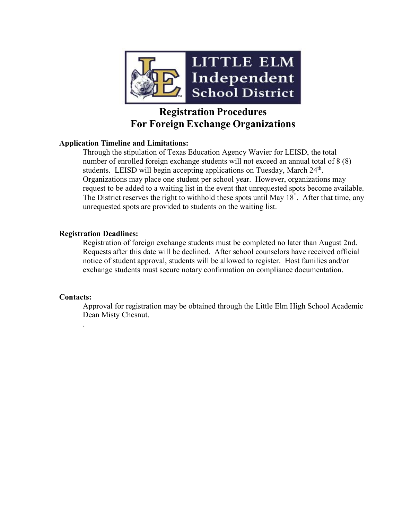

## **Registration Procedures For Foreign Exchange Organizations**

#### **Application Timeline and Limitations:**

Through the stipulation of Texas Education Agency Wavier for LEISD, the total number of enrolled foreign exchange students will not exceed an annual total of 8 (8) students. LEISD will begin accepting applications on Tuesday, March 24<sup>th</sup>. Organizations may place one student per school year. However, organizations may request to be added to a waiting list in the event that unrequested spots become available. The District reserves the right to withhold these spots until May  $18^{\text{th}}$ . After that time, any unrequested spots are provided to students on the waiting list.

#### **Registration Deadlines:**

Registration of foreign exchange students must be completed no later than August 2nd. Requests after this date will be declined. After school counselors have received official notice of student approval, students will be allowed to register. Host families and/or exchange students must secure notary confirmation on compliance documentation.

#### **Contacts:**

.

Approval for registration may be obtained through the Little Elm High School Academic Dean Misty Chesnut.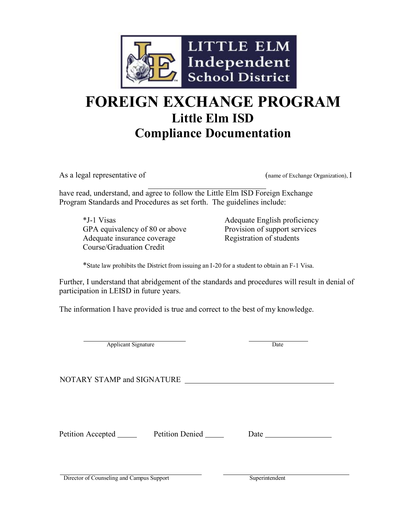

# **FOREIGN EXCHANGE PROGRAM Little Elm ISD Compliance Documentation**

As a legal representative of (name of Exchange Organization), I

have read, understand, and agree to follow the Little Elm ISD Foreign Exchange Program Standards and Procedures as set forth. The guidelines include:

\*J-1 Visas Adequate English proficiency GPA equivalency of 80 or above Provision of support services Adequate insurance coverage Registration of students Course/Graduation Credit

\*State law prohibits the District from issuing an I-20 for a student to obtain an F-1 Visa.

Further, I understand that abridgement of the standards and procedures will result in denial of participation in LEISD in future years.

The information I have provided is true and correct to the best of my knowledge.

Applicant Signature Date

NOTARY STAMP and SIGNATURE

Petition Accepted Petition Denied Date

Director of Counseling and Campus Support Superintendent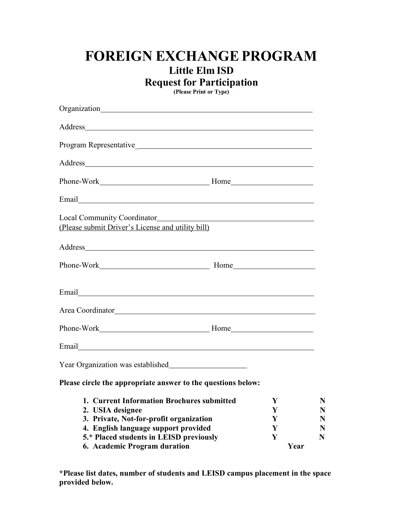# **FOREIGN EXCHANGE PROGRAM Little Elm ISD**

**Request for Participation**

**(Please Print or Type)**

| Local Community Coordinator<br>(Please submit Driver's License and utility bill)                          |             |                       |
|-----------------------------------------------------------------------------------------------------------|-------------|-----------------------|
|                                                                                                           |             |                       |
|                                                                                                           |             |                       |
|                                                                                                           |             |                       |
|                                                                                                           |             |                       |
|                                                                                                           |             |                       |
|                                                                                                           |             |                       |
|                                                                                                           |             |                       |
| Please circle the appropriate answer to the questions below:                                              |             |                       |
| 1. Current Information Brochures submitted<br>2. USIA designee<br>3. Private, Not-for-profit organization | Y<br>Y<br>Y | $\mathbb N$<br>N<br>N |
| 4. English language support provided<br>5.* Placed students in LEISD previously                           | Y<br>Y      | N<br>N                |
| 6. Academic Program duration                                                                              |             | Year                  |

**\*Please list dates, number of students and LEISD campus placement in the space provided below.**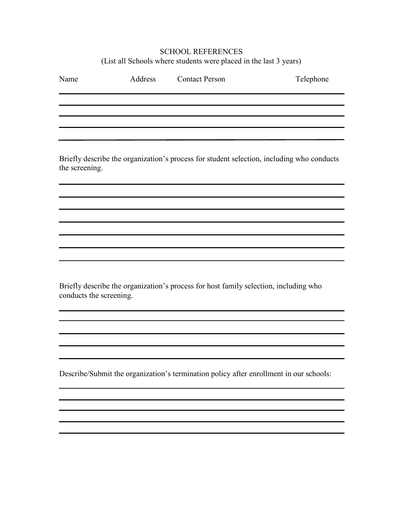#### SCHOOL REFERENCES (List all Schools where students were placed in the last 3 years)

| Name | Address | <b>Contact Person</b> | Telephone |
|------|---------|-----------------------|-----------|
|      |         |                       |           |
|      |         |                       |           |
|      |         |                       |           |
|      |         |                       |           |
|      |         |                       |           |

Briefly describe the organization's process for student selection, including who conducts the screening.

Briefly describe the organization's process for host family selection, including who conducts the screening.

Describe/Submit the organization's termination policy after enrollment in our schools: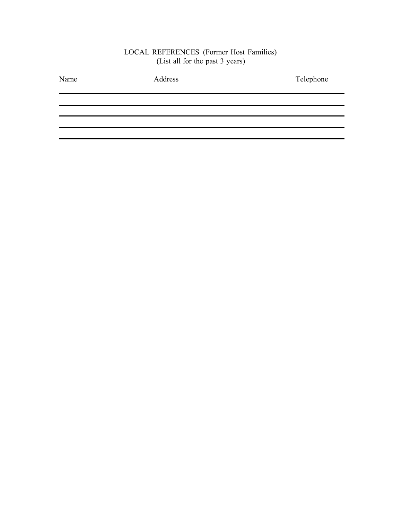#### LOCAL REFERENCES (Former Host Families) (List all for the past 3 years)

| Name | Address | Telephone |
|------|---------|-----------|
|      |         |           |
|      |         |           |
|      |         |           |
|      |         |           |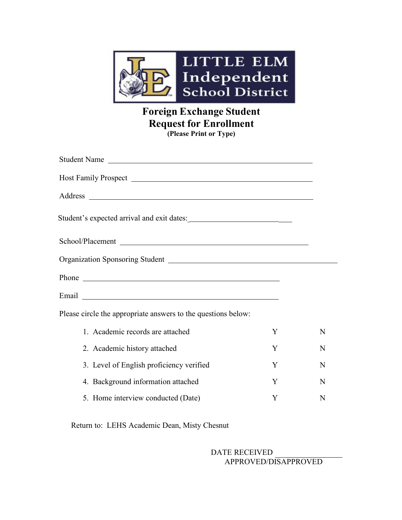

## **Foreign Exchange Student Request for Enrollment (Please Print or Type)**

| Student Name                                                              |   |   |
|---------------------------------------------------------------------------|---|---|
|                                                                           |   |   |
|                                                                           |   |   |
|                                                                           |   |   |
|                                                                           |   |   |
| Organization Sponsoring Student New York Channel Assembly Drawing Student |   |   |
|                                                                           |   |   |
|                                                                           |   |   |
| Please circle the appropriate answers to the questions below:             |   |   |
| 1. Academic records are attached                                          | Y | N |
| 2. Academic history attached                                              | Y | N |
| 3. Level of English proficiency verified                                  | Y | N |
| 4. Background information attached                                        | Y | N |
| 5. Home interview conducted (Date)                                        | Y | N |

Return to: LEHS Academic Dean, Misty Chesnut

DATE RECEIVED APPROVED/DISAPPROVED